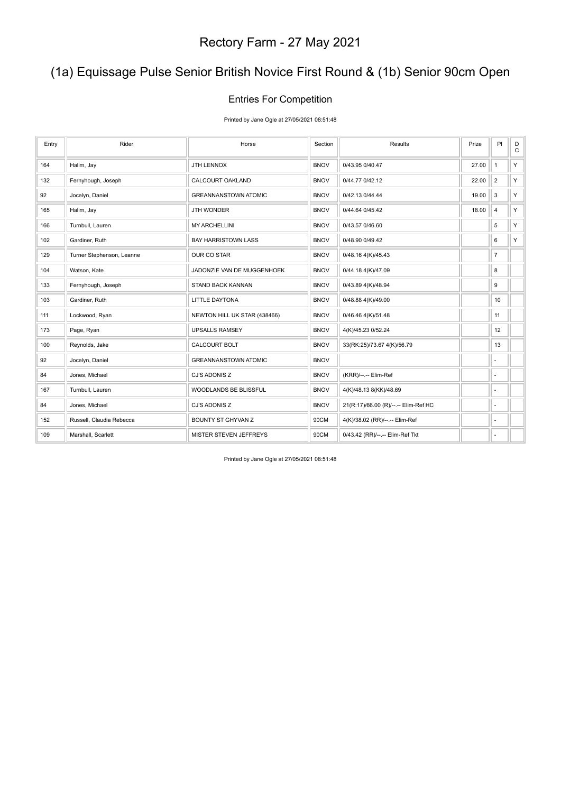### (1a) Equissage Pulse Senior British Novice First Round & (1b) Senior 90cm Open

#### Entries For Competition

Printed by Jane Ogle at 27/05/2021 08:51:48

| Entry | Rider                     | Horse                        | Section     | Results                              | Prize | PI                       | D<br>$\mathtt{C}$ |
|-------|---------------------------|------------------------------|-------------|--------------------------------------|-------|--------------------------|-------------------|
| 164   | Halim, Jay                | JTH LENNOX                   | <b>BNOV</b> | 0/43.95 0/40.47                      | 27.00 | $\mathbf{1}$             | Y                 |
| 132   | Fernyhough, Joseph        | CALCOURT OAKLAND             | <b>BNOV</b> | 0/44.77 0/42.12                      | 22.00 | $\overline{2}$           | Y                 |
| 92    | Jocelyn, Daniel           | <b>GREANNANSTOWN ATOMIC</b>  | <b>BNOV</b> | 0/42.13 0/44.44                      | 19.00 | 3                        | Y.                |
| 165   | Halim, Jay                | JTH WONDER                   | <b>BNOV</b> | 0/44.64 0/45.42                      | 18.00 | $\overline{4}$           | Y                 |
| 166   | Turnbull, Lauren          | <b>MY ARCHELLINI</b>         | <b>BNOV</b> | 0/43.57 0/46.60                      |       | 5                        | Y                 |
| 102   | Gardiner, Ruth            | <b>BAY HARRISTOWN LASS</b>   | <b>BNOV</b> | 0/48.90 0/49.42                      |       | 6                        | Y.                |
| 129   | Turner Stephenson, Leanne | OUR CO STAR                  | <b>BNOV</b> | 0/48.16 4(K)/45.43                   |       | $\overline{7}$           |                   |
| 104   | Watson, Kate              | JADONZIE VAN DE MUGGENHOEK   | <b>BNOV</b> | 0/44.18 4(K)/47.09                   |       | 8                        |                   |
| 133   | Fernyhough, Joseph        | <b>STAND BACK KANNAN</b>     | <b>BNOV</b> | 0/43.89 4(K)/48.94                   |       | 9                        |                   |
| 103   | Gardiner, Ruth            | <b>LITTLE DAYTONA</b>        | <b>BNOV</b> | 0/48.88 4(K)/49.00                   |       | 10                       |                   |
| 111   | Lockwood, Ryan            | NEWTON HILL UK STAR (438466) | <b>BNOV</b> | 0/46.46 4(K)/51.48                   |       | 11                       |                   |
| 173   | Page, Ryan                | <b>UPSALLS RAMSEY</b>        | <b>BNOV</b> | 4(K)/45.23 0/52.24                   |       | 12                       |                   |
| 100   | Reynolds, Jake            | CALCOURT BOLT                | <b>BNOV</b> | 33(RK:25)/73.67 4(K)/56.79           |       | 13                       |                   |
| 92    | Jocelyn, Daniel           | <b>GREANNANSTOWN ATOMIC</b>  | <b>BNOV</b> |                                      |       | ä,                       |                   |
| 84    | Jones, Michael            | CJ'S ADONIS Z                | <b>BNOV</b> | (KRR)/--.-- Elim-Ref                 |       | ÷.                       |                   |
| 167   | Turnbull, Lauren          | WOODLANDS BE BLISSFUL        | <b>BNOV</b> | 4(K)/48.13 8(KK)/48.69               |       | $\sim$                   |                   |
| 84    | Jones, Michael            | CJ'S ADONIS Z                | <b>BNOV</b> | 21(R:17)/66.00 (R)/--.-- Elim-Ref HC |       | $\overline{\phantom{a}}$ |                   |
| 152   | Russell, Claudia Rebecca  | BOUNTY ST GHYVAN Z           | 90CM        | 4(K)/38.02 (RR)/--.-- Elim-Ref       |       | $\overline{\phantom{m}}$ |                   |
| 109   | Marshall, Scarlett        | MISTER STEVEN JEFFREYS       | 90CM        | 0/43.42 (RR)/--.-- Elim-Ref Tkt      |       | ٠                        |                   |

Printed by Jane Ogle at 27/05/2021 08:51:48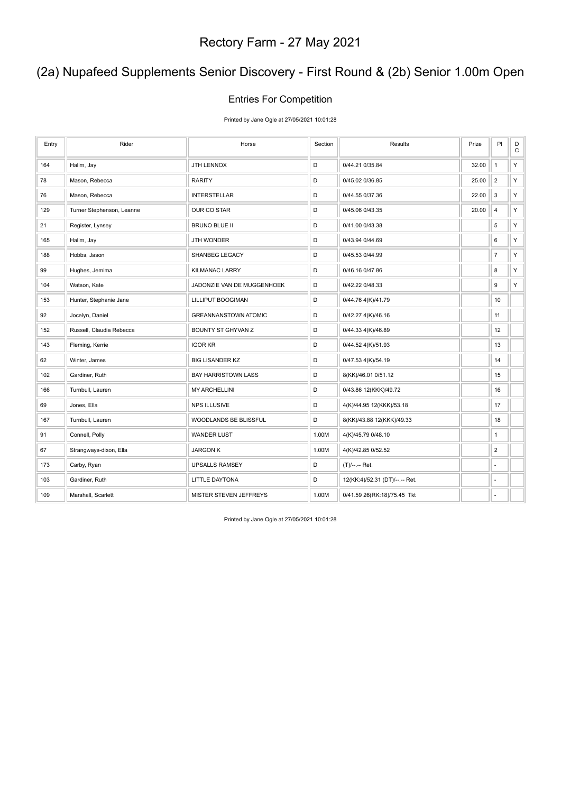### (2a) Nupafeed Supplements Senior Discovery - First Round & (2b) Senior 1.00m Open

#### Entries For Competition

Printed by Jane Ogle at 27/05/2021 10:01:28

| Entry | Rider                     | Horse                       | Section | <b>Results</b>                 | Prize | PI               | $_{\rm C}^{\rm D}$ |
|-------|---------------------------|-----------------------------|---------|--------------------------------|-------|------------------|--------------------|
| 164   | Halim, Jay                | <b>JTH LENNOX</b>           | D       | 0/44.21 0/35.84                | 32.00 | $\mathbf{1}$     | Y                  |
| 78    | Mason, Rebecca            | RARITY                      | D       | 0/45.02 0/36.85                | 25.00 | $\overline{2}$   | Y                  |
| 76    | Mason, Rebecca            | <b>INTERSTELLAR</b>         | D       | 0/44.55 0/37.36                | 22.00 | 3                | Υ                  |
| 129   | Turner Stephenson, Leanne | OUR CO STAR                 | D       | 0/45.06 0/43.35                | 20.00 | $\sqrt{4}$       | Y                  |
| 21    | Register, Lynsey          | <b>BRUNO BLUE II</b>        | D       | 0/41.00 0/43.38                |       | 5                | Y                  |
| 165   | Halim, Jay                | <b>JTH WONDER</b>           | D       | 0/43.94 0/44.69                |       | 6                | Y                  |
| 188   | Hobbs, Jason              | SHANBEG LEGACY              | D       | 0/45.53 0/44.99                |       | $\overline{7}$   | Y                  |
| 99    | Hughes, Jemima            | KILMANAC LARRY              | D       | 0/46.16 0/47.86                |       | 8                | Y                  |
| 104   | Watson, Kate              | JADONZIE VAN DE MUGGENHOEK  | D       | 0/42.22 0/48.33                |       | $\boldsymbol{9}$ | Y                  |
| 153   | Hunter, Stephanie Jane    | LILLIPUT BOOGIMAN           | D       | 0/44.76 4(K)/41.79             |       | 10               |                    |
| 92    | Jocelyn, Daniel           | <b>GREANNANSTOWN ATOMIC</b> | D       | 0/42.27 4(K)/46.16             |       | 11               |                    |
| 152   | Russell, Claudia Rebecca  | BOUNTY ST GHYVAN Z          | D       | 0/44.33 4(K)/46.89             |       | 12               |                    |
| 143   | Fleming, Kerrie           | <b>IGOR KR</b>              | D       | 0/44.52 4(K)/51.93             |       | 13               |                    |
| 62    | Winter, James             | <b>BIG LISANDER KZ</b>      | D       | 0/47.53 4(K)/54.19             |       | 14               |                    |
| 102   | Gardiner, Ruth            | BAY HARRISTOWN LASS         | D       | 8(KK)/46.01 0/51.12            |       | 15               |                    |
| 166   | Turnbull, Lauren          | <b>MY ARCHELLINI</b>        | D       | 0/43.86 12(KKK)/49.72          |       | 16               |                    |
| 69    | Jones, Ella               | <b>NPS ILLUSIVE</b>         | D       | 4(K)/44.95 12(KKK)/53.18       |       | 17               |                    |
| 167   | Turnbull, Lauren          | WOODLANDS BE BLISSFUL       | D       | 8(KK)/43.88 12(KKK)/49.33      |       | 18               |                    |
| 91    | Connell, Polly            | <b>WANDER LUST</b>          | 1.00M   | 4(K)/45.79 0/48.10             |       | $\mathbf{1}$     |                    |
| 67    | Strangways-dixon, Ella    | <b>JARGON K</b>             | 1.00M   | 4(K)/42.85 0/52.52             |       | $\overline{2}$   |                    |
| 173   | Carby, Ryan               | <b>UPSALLS RAMSEY</b>       | D       | (T)/--.-- Ret.                 |       | L,               |                    |
| 103   | Gardiner, Ruth            | LITTLE DAYTONA              | D       | 12(KK:4)/52.31 (DT)/--.-- Ret. |       | ä,               |                    |
| 109   | Marshall, Scarlett        | MISTER STEVEN JEFFREYS      | 1.00M   | 0/41.59 26(RK:18)/75.45 Tkt    |       | ÷,               |                    |

Printed by Jane Ogle at 27/05/2021 10:01:28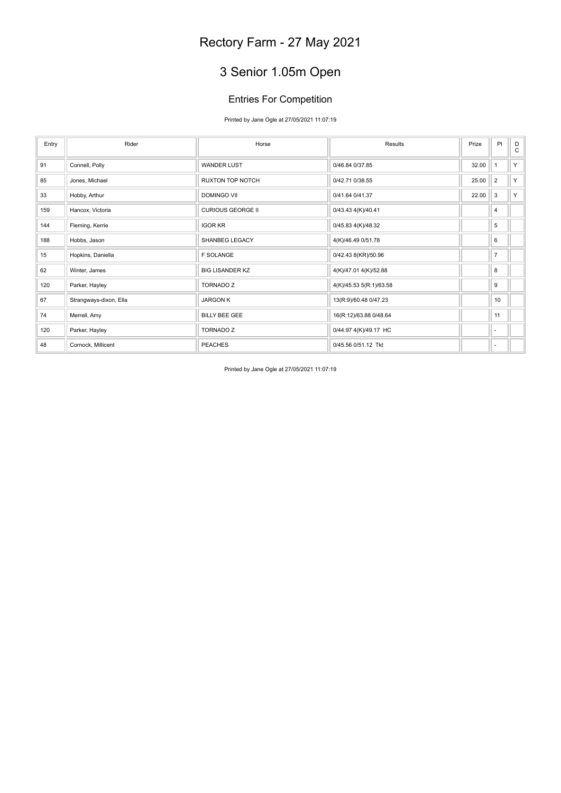# 3 Senior 1.05m Open

### Entries For Competition

Printed by Jane Ogle at 27/05/2021 11:07:19

| Entry | Rider                  | Horse                    | Results                 | Prize | PI             | D<br>C |
|-------|------------------------|--------------------------|-------------------------|-------|----------------|--------|
| 91    | Connell, Polly         | <b>WANDER LUST</b>       | 0/46.84 0/37.85         | 32.00 | 1              | Y      |
| 85    | Jones, Michael         | RUXTON TOP NOTCH         | 0/42.71 0/38.55         | 25.00 | $\overline{2}$ | Y      |
| 33    | Hobby, Arthur          | <b>DOMINGO VII</b>       | 0/41.64 0/41.37         | 22.00 | 3              | Y      |
| 159   | Hancox, Victoria       | <b>CURIOUS GEORGE II</b> | 0/43.43 4(K)/40.41      |       | 4              |        |
| 144   | Fleming, Kerrie        | <b>IGOR KR</b>           | 0/45.83 4(K)/48.32      |       | 5              |        |
| 188   | Hobbs, Jason           | <b>SHANBEG LEGACY</b>    | 4(K)/46.49 0/51.78      |       | 6              |        |
| 15    | Hopkins, Daniella      | <b>F SOLANGE</b>         | 0/42.43 8(KR)/50.96     |       | $\overline{7}$ |        |
| 62    | Winter, James          | <b>BIG LISANDER KZ</b>   | 4(K)/47.01 4(K)/52.88   |       | 8              |        |
| 120   | Parker, Hayley         | <b>TORNADO Z</b>         | 4(K)/45.53 5(R:1)/63.58 |       | 9              |        |
| 67    | Strangways-dixon, Ella | <b>JARGON K</b>          | 13(R:9)/60.48 0/47.23   |       | 10             |        |
| 74    | Merrell, Amy           | <b>BILLY BEE GEE</b>     | 16(R:12)/63.88 0/48.64  |       | 11             |        |
| 120   | Parker, Hayley         | <b>TORNADO Z</b>         | 0/44.97 4(K)/49.17 HC   |       | ٠              |        |
| 48    | Cornock, Millicent     | <b>PEACHES</b>           | 0/45.56 0/51.12 Tkt     |       | ٠              |        |

Printed by Jane Ogle at 27/05/2021 11:07:19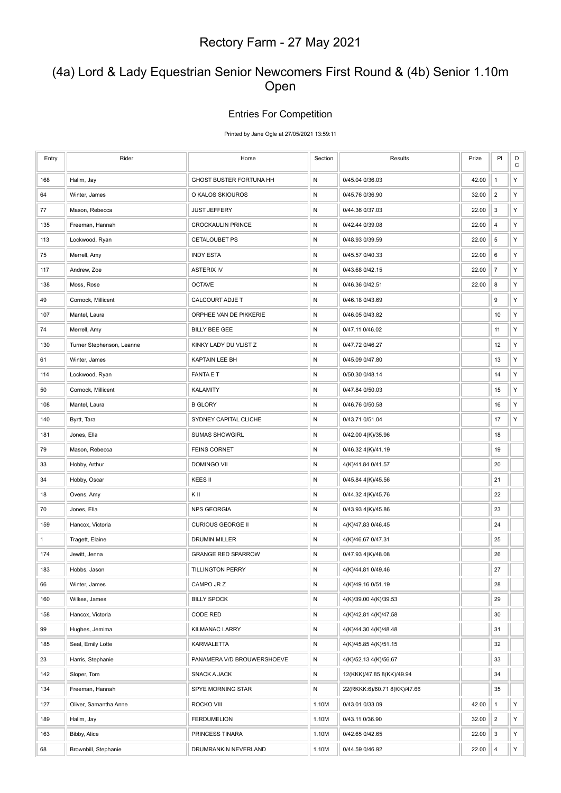### (4a) Lord & Lady Equestrian Senior Newcomers First Round & (4b) Senior 1.10m Open

#### Entries For Competition

Printed by Jane Ogle at 27/05/2021 13:59:11

| Entry        | Rider                     | Horse                      | Section   | Results                      | Prize | PI                      | D<br>$\mathbf C$ |
|--------------|---------------------------|----------------------------|-----------|------------------------------|-------|-------------------------|------------------|
| 168          | Halim, Jay                | GHOST BUSTER FORTUNA HH    | ${\sf N}$ | 0/45.04 0/36.03              | 42.00 | $\mathbf{1}$            | Υ                |
| 64           | Winter, James             | O KALOS SKIOUROS           | N         | 0/45.76 0/36.90              | 32.00 | $\overline{\mathbf{c}}$ | Υ                |
| 77           | Mason, Rebecca            | <b>JUST JEFFERY</b>        | ${\sf N}$ | 0/44.36 0/37.03              | 22.00 | 3                       | Υ                |
| 135          | Freeman, Hannah           | CROCKAULIN PRINCE          | N         | 0/42.44 0/39.08              | 22.00 | $\overline{4}$          | Υ                |
| 113          | Lockwood, Ryan            | CETALOUBET PS              | N         | 0/48.93 0/39.59              | 22.00 | 5                       | Υ                |
| 75           | Merrell, Amy              | <b>INDY ESTA</b>           | ${\sf N}$ | 0/45.57 0/40.33              | 22.00 | 6                       | Υ                |
| 117          | Andrew, Zoe               | ASTERIX IV                 | N         | 0/43.68 0/42.15              | 22.00 | $\overline{7}$          | Υ                |
| 138          | Moss, Rose                | <b>OCTAVE</b>              | N         | 0/46.36 0/42.51              | 22.00 | 8                       | Υ                |
| 49           | Cornock, Millicent        | CALCOURT ADJE T            | N         | 0/46.18 0/43.69              |       | 9                       | Υ                |
| 107          | Mantel, Laura             | ORPHEE VAN DE PIKKERIE     | N         | 0/46.05 0/43.82              |       | 10                      | Υ                |
| 74           | Merrell, Amy              | BILLY BEE GEE              | N         | 0/47.11 0/46.02              |       | 11                      | Y                |
| 130          | Turner Stephenson, Leanne | KINKY LADY DU VLIST Z      | N         | 0/47.72 0/46.27              |       | 12                      | Υ                |
| 61           | Winter, James             | KAPTAIN LEE BH             | N         | 0/45.09 0/47.80              |       | 13                      | Υ                |
| 114          | Lockwood, Ryan            | <b>FANTA E T</b>           | ${\sf N}$ | 0/50.30 0/48.14              |       | 14                      | Y                |
| 50           | Cornock, Millicent        | KALAMITY                   | N         | 0/47.84 0/50.03              |       | 15                      | Υ                |
| 108          | Mantel, Laura             | <b>B GLORY</b>             | N         | 0/46.76 0/50.58              |       | 16                      | Υ                |
| 140          | Byrtt, Tara               | SYDNEY CAPITAL CLICHE      | N         | 0/43.71 0/51.04              |       | 17                      | Υ                |
| 181          | Jones, Ella               | SUMAS SHOWGIRL             | N         | 0/42.00 4(K)/35.96           |       | 18                      |                  |
| 79           | Mason, Rebecca            | <b>FEINS CORNET</b>        | N         | 0/46.32 4(K)/41.19           |       | 19                      |                  |
| 33           | Hobby, Arthur             | DOMINGO VII                | N         | 4(K)/41.84 0/41.57           |       | 20                      |                  |
| 34           | Hobby, Oscar              | KEES II                    | ${\sf N}$ | 0/45.84 4(K)/45.56           |       | 21                      |                  |
| 18           | Ovens, Amy                | ΚIΙ                        | N         | 0/44.32 4(K)/45.76           |       | 22                      |                  |
| 70           | Jones, Ella               | <b>NPS GEORGIA</b>         | N         | 0/43.93 4(K)/45.86           |       | 23                      |                  |
| 159          | Hancox, Victoria          | <b>CURIOUS GEORGE II</b>   | N         | 4(K)/47.83 0/46.45           |       | 24                      |                  |
| $\mathbf{1}$ | Tragett, Elaine           | DRUMIN MILLER              | N         | 4(K)/46.67 0/47.31           |       | 25                      |                  |
| 174          | Jewitt, Jenna             | <b>GRANGE RED SPARROW</b>  | N         | 0/47.93 4(K)/48.08           |       | 26                      |                  |
| 183          | Hobbs, Jason              | <b>TILLINGTON PERRY</b>    | N         | 4(K)/44.81 0/49.46           |       | 27                      |                  |
| 66           | Winter, James             | CAMPO JR Z                 | N         | 4(K)/49.16 0/51.19           |       | 28                      |                  |
| 160          | Wilkes, James             | <b>BILLY SPOCK</b>         | ${\sf N}$ | 4(K)/39.00 4(K)/39.53        |       | 29                      |                  |
| 158          | Hancox, Victoria          | CODE RED                   | ${\sf N}$ | 4(K)/42.81 4(K)/47.58        |       | 30                      |                  |
| 99           | Hughes, Jemima            | KILMANAC LARRY             | ${\sf N}$ | 4(K)/44.30 4(K)/48.48        |       | 31                      |                  |
| 185          | Seal, Emily Lotte         | KARMALETTA                 | N         | 4(K)/45.85 4(K)/51.15        |       | 32                      |                  |
| 23           | Harris, Stephanie         | PANAMERA V/D BROUWERSHOEVE | N         | 4(K)/52.13 4(K)/56.67        |       | 33                      |                  |
| 142          | Sloper, Tom               | SNACK A JACK               | ${\sf N}$ | 12(KKK)/47.85 8(KK)/49.94    |       | 34                      |                  |
| 134          | Freeman, Hannah           | SPYE MORNING STAR          | ${\sf N}$ | 22(RKKK:6)/60.71 8(KK)/47.66 |       | 35                      |                  |
| 127          | Oliver, Samantha Anne     | ROCKO VIII                 | 1.10M     | 0/43.01 0/33.09              | 42.00 | $\mathbf{1}$            | Y                |
| 189          | Halim, Jay                | <b>FERDUMELION</b>         | 1.10M     | 0/43.11 0/36.90              | 32.00 | $\overline{2}$          | Y                |
| 163          | Bibby, Alice              | PRINCESS TINARA            | 1.10M     | 0/42.65 0/42.65              | 22.00 | $\sqrt{3}$              | Y                |
| 68           | Brownbill, Stephanie      | DRUMRANKIN NEVERLAND       | 1.10M     | 0/44.59 0/46.92              | 22.00 | 4                       | Y                |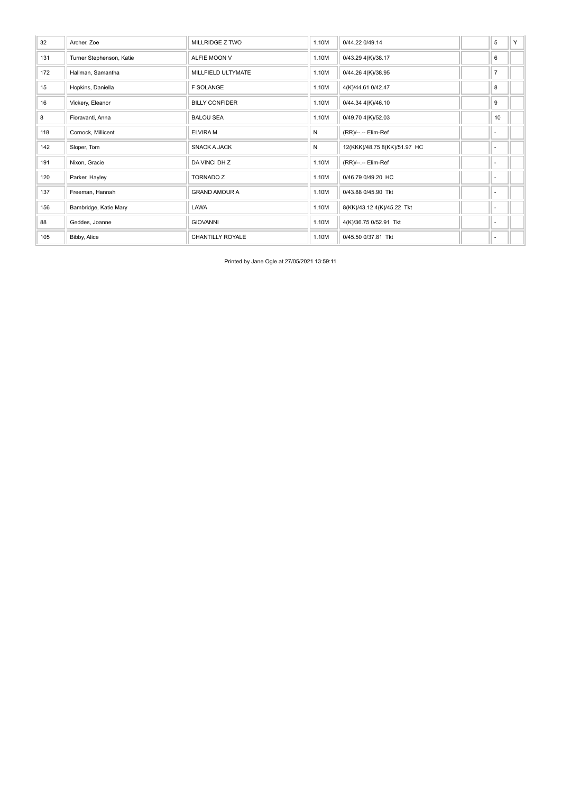| 32  | Archer, Zoe              | <b>MILLRIDGE Z TWO</b>  | 1.10M | 0/44.22 0/49.14              | 5                        | Y |
|-----|--------------------------|-------------------------|-------|------------------------------|--------------------------|---|
| 131 | Turner Stephenson, Katie | <b>ALFIE MOON V</b>     | 1.10M | 0/43.29 4(K)/38.17           | 6                        |   |
| 172 | Hallman, Samantha        | MILLFIELD ULTYMATE      | 1.10M | 0/44.26 4(K)/38.95           | $\overline{7}$           |   |
| 15  | Hopkins, Daniella        | <b>F SOLANGE</b>        | 1.10M | 4(K)/44.61 0/42.47           | 8                        |   |
| 16  | Vickery, Eleanor         | <b>BILLY CONFIDER</b>   | 1.10M | 0/44.34 4(K)/46.10           | 9                        |   |
| 8   | Fioravanti, Anna         | <b>BALOU SEA</b>        | 1.10M | 0/49.70 4(K)/52.03           | 10                       |   |
| 118 | Cornock, Millicent       | <b>ELVIRA M</b>         | N     | (RR)/--.-- Elim-Ref          | $\sim$                   |   |
| 142 | Sloper, Tom              | <b>SNACK A JACK</b>     | N     | 12(KKK)/48.75 8(KK)/51.97 HC | ٠                        |   |
| 191 | Nixon, Gracie            | DA VINCI DH Z           | 1.10M | (RR)/--.-- Elim-Ref          | $\sim$                   |   |
| 120 | Parker, Hayley           | <b>TORNADO Z</b>        | 1.10M | 0/46.79 0/49.20 HC           | $\overline{\phantom{a}}$ |   |
| 137 | Freeman, Hannah          | <b>GRAND AMOUR A</b>    | 1.10M | 0/43.88 0/45.90 Tkt          | $\sim$                   |   |
| 156 | Bambridge, Katie Mary    | LAWA                    | 1.10M | 8(KK)/43.12 4(K)/45.22 Tkt   | $\overline{\phantom{a}}$ |   |
| 88  | Geddes, Joanne           | <b>GIOVANNI</b>         | 1.10M | 4(K)/36.75 0/52.91 Tkt       | $\sim$                   |   |
| 105 | Bibby, Alice             | <b>CHANTILLY ROYALE</b> | 1.10M | 0/45.50 0/37.81 Tkt          | $\sim$                   |   |

Printed by Jane Ogle at 27/05/2021 13:59:11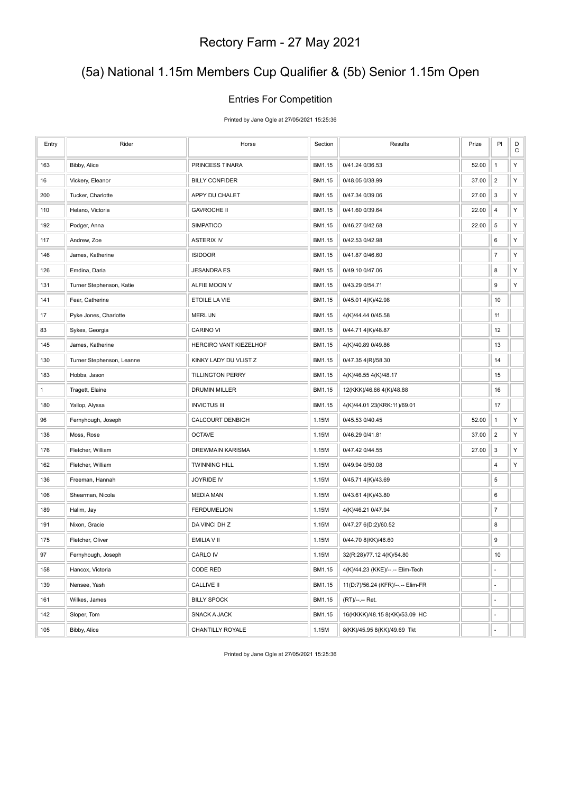### (5a) National 1.15m Members Cup Qualifier & (5b) Senior 1.15m Open

#### Entries For Competition

Printed by Jane Ogle at 27/05/2021 15:25:36

| Entry        | Rider                     | Horse                   | Section | Results                           | Prize | PI               | D<br>$\mathbf C$ |
|--------------|---------------------------|-------------------------|---------|-----------------------------------|-------|------------------|------------------|
| 163          | Bibby, Alice              | PRINCESS TINARA         | BM1.15  | 0/41.24 0/36.53                   | 52.00 | $\mathbf{1}$     | Y                |
| 16           | Vickery, Eleanor          | <b>BILLY CONFIDER</b>   | BM1.15  | 0/48.05 0/38.99                   | 37.00 | $\overline{2}$   | Υ                |
| 200          | Tucker, Charlotte         | APPY DU CHALET          | BM1.15  | 0/47.34 0/39.06                   | 27.00 | 3                | Y                |
| 110          | Helano, Victoria          | <b>GAVROCHE II</b>      | BM1.15  | 0/41.60 0/39.64                   | 22.00 | $\sqrt{4}$       | Υ                |
| 192          | Podger, Anna              | <b>SIMPATICO</b>        | BM1.15  | 0/46.27 0/42.68                   | 22.00 | $\,$ 5 $\,$      | Υ                |
| 117          | Andrew, Zoe               | <b>ASTERIX IV</b>       | BM1.15  | 0/42.53 0/42.98                   |       | 6                | Y                |
| 146          | James, Katherine          | <b>ISIDOOR</b>          | BM1.15  | 0/41.87 0/46.60                   |       | $\overline{7}$   | Υ                |
| 126          | Emdina, Daria             | <b>JESANDRA ES</b>      | BM1.15  | 0/49.10 0/47.06                   |       | 8                | Y                |
| 131          | Turner Stephenson, Katie  | ALFIE MOON V            | BM1.15  | 0/43.29 0/54.71                   |       | $\boldsymbol{9}$ | Υ                |
| 141          | Fear, Catherine           | ETOILE LA VIE           | BM1.15  | 0/45.01 4(K)/42.98                |       | 10               |                  |
| 17           | Pyke Jones, Charlotte     | <b>MERLIJN</b>          | BM1.15  | 4(K)/44.44 0/45.58                |       | 11               |                  |
| 83           | Sykes, Georgia            | <b>CARINO VI</b>        | BM1.15  | 0/44.71 4(K)/48.87                |       | 12               |                  |
| 145          | James, Katherine          | HERCIRO VANT KIEZELHOF  | BM1.15  | 4(K)/40.89 0/49.86                |       | 13               |                  |
| 130          | Turner Stephenson, Leanne | KINKY LADY DU VLIST Z   | BM1.15  | 0/47.35 4(R)/58.30                |       | 14               |                  |
| 183          | Hobbs, Jason              | <b>TILLINGTON PERRY</b> | BM1.15  | 4(K)/46.55 4(K)/48.17             |       | 15               |                  |
| $\mathbf{1}$ | Tragett, Elaine           | DRUMIN MILLER           | BM1.15  | 12(KKK)/46.66 4(K)/48.88          |       | 16               |                  |
| 180          | Yallop, Alyssa            | <b>INVICTUS III</b>     | BM1.15  | 4(K)/44.01 23(KRK:11)/69.01       |       | 17               |                  |
| 96           | Fernyhough, Joseph        | CALCOURT DENBIGH        | 1.15M   | 0/45.53 0/40.45                   | 52.00 | $\mathbf{1}$     | Υ                |
| 138          | Moss, Rose                | <b>OCTAVE</b>           | 1.15M   | 0/46.29 0/41.81                   | 37.00 | $\overline{2}$   | Υ                |
| 176          | Fletcher, William         | DREWMAIN KARISMA        | 1.15M   | 0/47.42 0/44.55                   | 27.00 | 3                | Υ                |
| 162          | Fletcher, William         | <b>TWINNING HILL</b>    | 1.15M   | 0/49.94 0/50.08                   |       | 4                | $\mathsf Y$      |
| 136          | Freeman, Hannah           | <b>JOYRIDE IV</b>       | 1.15M   | 0/45.71 4(K)/43.69                |       | 5                |                  |
| 106          | Shearman, Nicola          | <b>MEDIA MAN</b>        | 1.15M   | 0/43.61 4(K)/43.80                |       | 6                |                  |
| 189          | Halim, Jay                | <b>FERDUMELION</b>      | 1.15M   | 4(K)/46.21 0/47.94                |       | $\overline{7}$   |                  |
| 191          | Nixon, Gracie             | DA VINCI DH Z           | 1.15M   | 0/47.27 6(D:2)/60.52              |       | 8                |                  |
| 175          | Fletcher, Oliver          | EMILIA V II             | 1.15M   | 0/44.70 8(KK)/46.60               |       | 9                |                  |
| 97           | Fernyhough, Joseph        | CARLO IV                | 1.15M   | 32(R:28)/77.12 4(K)/54.80         |       | 10               |                  |
| 158          | Hancox, Victoria          | CODE RED                | BM1.15  | 4(K)/44.23 (KKE)/--.-- Elim-Tech  |       | ٠                |                  |
| 139          | Nensee, Yash              | <b>CALLIVE II</b>       | BM1.15  | 11(D:7)/56.24 (KFR)/--.-- Elim-FR |       | ÷,               |                  |
| 161          | Wilkes, James             | <b>BILLY SPOCK</b>      | BM1.15  | (RT)/--.-- Ret.                   |       | ÷,               |                  |
| 142          | Sloper, Tom               | <b>SNACK A JACK</b>     | BM1.15  | 16(KKKK)/48.15 8(KK)/53.09 HC     |       | ÷,               |                  |
| 105          | Bibby, Alice              | CHANTILLY ROYALE        | 1.15M   | 8(KK)/45.95 8(KK)/49.69 Tkt       |       | ÷,               |                  |

Printed by Jane Ogle at 27/05/2021 15:25:36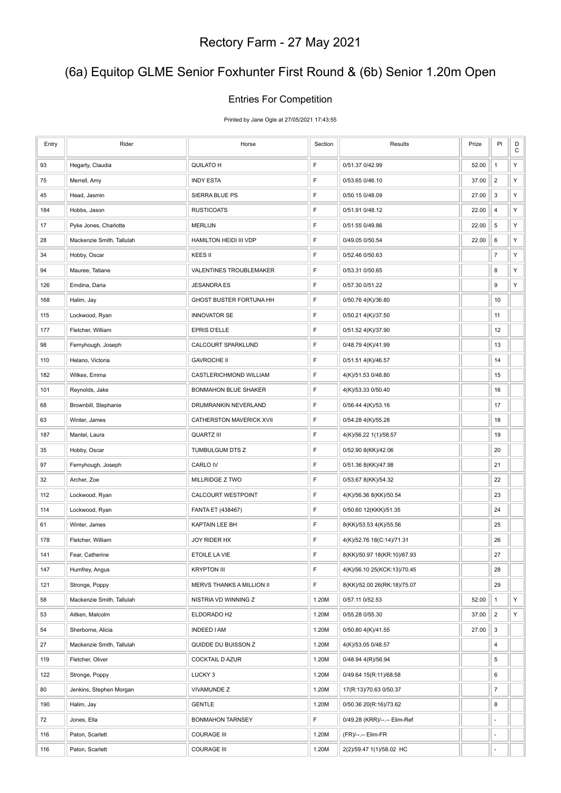# (6a) Equitop GLME Senior Foxhunter First Round & (6b) Senior 1.20m Open

#### Entries For Competition

Printed by Jane Ogle at 27/05/2021 17:43:55

| Entry | Rider                     | Horse                       | Section     | Results                      | Prize | PI                      | $_{\rm C}^{\rm D}$ |
|-------|---------------------------|-----------------------------|-------------|------------------------------|-------|-------------------------|--------------------|
| 93    | Hegarty, Claudia          | QUILATO H                   | $\mathsf F$ | 0/51.37 0/42.99              | 52.00 | $\mathbf{1}$            | Υ                  |
| 75    | Merrell, Amy              | <b>INDY ESTA</b>            | F           | 0/53.65 0/46.10              | 37.00 | $\overline{2}$          | Υ                  |
| 45    | Head, Jasmin              | SIERRA BLUE PS              | F           | 0/50.15 0/48.09              | 27.00 | 3                       | Υ                  |
| 184   | Hobbs, Jason              | <b>RUSTICOATS</b>           | F           | 0/51.91 0/48.12              | 22.00 | $\overline{\mathbf{4}}$ | Υ                  |
| 17    | Pyke Jones, Charlotte     | <b>MERLIJN</b>              | $\mathsf F$ | 0/51.55 0/49.86              | 22.00 | 5                       | Υ                  |
| 28    | Mackenzie Smith, Tallulah | HAMILTON HEIDI III VDP      | $\mathsf F$ | 0/49.05 0/50.54              | 22.00 | 6                       | Υ                  |
| 34    | Hobby, Oscar              | KEES II                     | F           | 0/52.46 0/50.63              |       | $\overline{7}$          | Υ                  |
| 94    | Mauree, Tatiane           | VALENTINES TROUBLEMAKER     | $\mathsf F$ | 0/53.31 0/50.65              |       | 8                       | Y                  |
| 126   | Emdina, Daria             | <b>JESANDRA ES</b>          | F           | 0/57.30 0/51.22              |       | 9                       | Υ                  |
| 168   | Halim, Jay                | GHOST BUSTER FORTUNA HH     | F           | 0/50.76 4(K)/36.80           |       | 10                      |                    |
| 115   | Lockwood, Ryan            | <b>INNOVATOR SE</b>         | F           | 0/50.21 4(K)/37.50           |       | 11                      |                    |
| 177   | Fletcher, William         | EPRIS D'ELLE                | $\mathsf F$ | 0/51.52 4(K)/37.90           |       | 12                      |                    |
| 98    | Fernyhough, Joseph        | CALCOURT SPARKLUND          | F           | 0/48.79 4(K)/41.99           |       | 13                      |                    |
| 110   | Helano, Victoria          | <b>GAVROCHE II</b>          | F           | 0/51.51 4(K)/46.57           |       | 14                      |                    |
| 182   | Wilkes, Emma              | CASTLERICHMOND WILLIAM      | $\mathsf F$ | 4(K)/51.53 0/48.80           |       | 15                      |                    |
| 101   | Reynolds, Jake            | <b>BONMAHON BLUE SHAKER</b> | F           | 4(K)/53.33 0/50.40           |       | 16                      |                    |
| 68    | Brownbill, Stephanie      | DRUMRANKIN NEVERLAND        | F           | 0/56.44 4(K)/53.16           |       | 17                      |                    |
| 63    | Winter, James             | CATHERSTON MAVERICK XVII    | $\mathsf F$ | 0/54.28 4(K)/55.28           |       | 18                      |                    |
| 187   | Mantel, Laura             | <b>QUARTZ III</b>           | F           | 4(K)/56.22 1(1)/58.57        |       | 19                      |                    |
| 35    | Hobby, Oscar              | TUMBULGUM DTS Z             | $\mathsf F$ | 0/52.90 8(KK)/42.06          |       | 20                      |                    |
| 97    | Fernyhough, Joseph        | CARLO IV                    | $\mathsf F$ | 0/51.36 8(KK)/47.98          |       | 21                      |                    |
| 32    | Archer, Zoe               | MILLRIDGE Z TWO             | F           | 0/53.67 8(KK)/54.32          |       | 22                      |                    |
| 112   | Lockwood, Ryan            | CALCOURT WESTPOINT          | $\mathsf F$ | 4(K)/56.36 8(KK)/50.54       |       | 23                      |                    |
| 114   | Lockwood, Ryan            | FANTA ET (438467)           | F           | 0/50.60 12(KKK)/51.35        |       | 24                      |                    |
| 61    | Winter, James             | <b>KAPTAIN LEE BH</b>       | F           | 8(KK)/53.53 4(K)/55.56       |       | 25                      |                    |
| 178   | Fletcher, William         | JOY RIDER HX                | F           | 4(K)/52.76 18(C:14)/71.31    |       | 26                      |                    |
| 141   | Fear, Catherine           | ETOILE LA VIE               | F           | 8(KK)/50.97 18(KR:10)/67.93  |       | 27                      |                    |
| 147   | Humfrey, Angus            | <b>KRYPTON III</b>          | F           | 4(K)/56.10 25(KCK:13)/70.45  |       | 28                      |                    |
| 121   | Stronge, Poppy            | MERVS THANKS A MILLION II   | F           | 8(KK)/52.00 26(RK:18)/75.07  |       | 29                      |                    |
| 58    | Mackenzie Smith, Tallulah | NISTRIA VD WINNING Z        | 1.20M       | 0/57.11 0/52.53              | 52.00 | $\mathbf{1}$            | Y                  |
| 53    | Aitken, Malcolm           | ELDORADO H2                 | 1.20M       | 0/55.28 0/55.30              | 37.00 | $\overline{\mathbf{c}}$ | Y                  |
| 54    | Sherborne, Alicia         | <b>INDEED I AM</b>          | 1.20M       | 0/50.80 4(K)/41.55           | 27.00 | 3                       |                    |
| 27    | Mackenzie Smith, Tallulah | QUIDDE DU BUISSON Z         | 1.20M       | 4(K)/53.05 0/48.57           |       | 4                       |                    |
| 119   | Fletcher, Oliver          | <b>COCKTAIL D AZUR</b>      | 1.20M       | 0/48.94 4(R)/56.94           |       | 5                       |                    |
| 122   | Stronge, Poppy            | LUCKY <sub>3</sub>          | 1.20M       | 0/49.64 15(R:11)/68.58       |       | 6                       |                    |
| 80    | Jenkins, Stephen Morgan   | <b>VIVAMUNDE Z</b>          | 1.20M       | 17(R:13)/70.63 0/50.37       |       | $\boldsymbol{7}$        |                    |
| 190   | Halim, Jay                | <b>GENTLE</b>               | 1.20M       | 0/50.36 20(R:16)/73.62       |       | 8                       |                    |
| 72    | Jones, Ella               | <b>BONMAHON TARNSEY</b>     | F           | 0/49.28 (KRR)/--.-- Elim-Ref |       | ÷                       |                    |
| 116   | Paton, Scarlett           | <b>COURAGE III</b>          | 1.20M       | (FR)/--.-- Elim-FR           |       | ٠                       |                    |
| 116   | Paton, Scarlett           | <b>COURAGE III</b>          | 1.20M       | 2(2)/59.47 1(1)/58.02 HC     |       |                         |                    |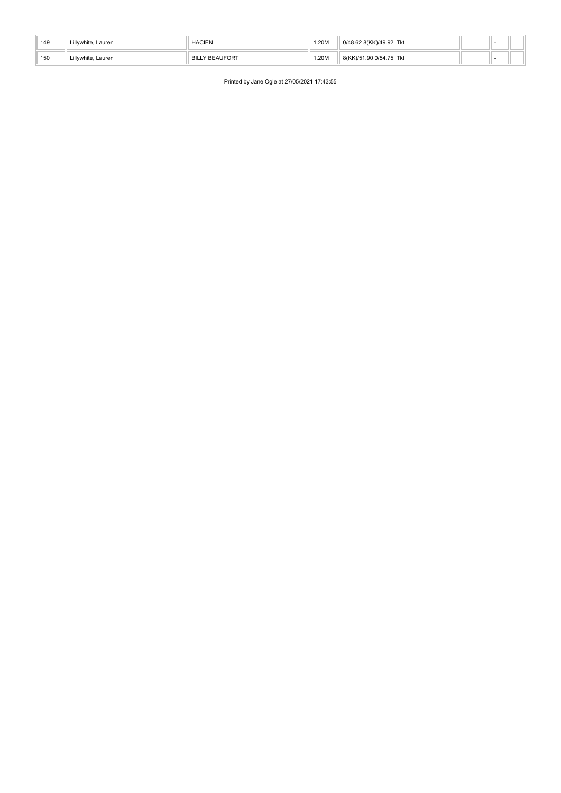| 149 | Lillvwhite. Lauren | <b>HACIEN</b>         | .20M | 0/48.62 8(KK)/49.92 Tkt |  |  |
|-----|--------------------|-----------------------|------|-------------------------|--|--|
| 150 | Lillywhite, Lauren | <b>BILLY BEAUFORT</b> | .20M | 8(KK)/51.90 0/54.75 Tkt |  |  |

Printed by Jane Ogle at 27/05/2021 17:43:55